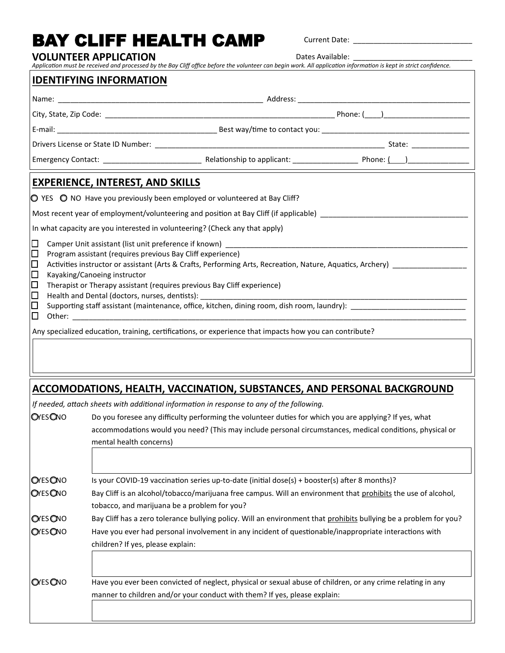## BAY CLIFF HEALTH CAMP Current Date: \_\_\_\_\_\_\_\_\_\_\_\_\_\_\_\_\_\_\_\_\_\_\_\_\_\_\_\_\_

**VOLUNTEER APPLICATION**

Dates Available:

| Application must be received and processed by the Bay Cliff office before the volunteer can begin work. All application information is kept in strict confidence.                                                                                                                                                                                                                                                                                                                                                                                                                         |                                                                                                                                                                                                                                               |  |  |  |  |
|-------------------------------------------------------------------------------------------------------------------------------------------------------------------------------------------------------------------------------------------------------------------------------------------------------------------------------------------------------------------------------------------------------------------------------------------------------------------------------------------------------------------------------------------------------------------------------------------|-----------------------------------------------------------------------------------------------------------------------------------------------------------------------------------------------------------------------------------------------|--|--|--|--|
|                                                                                                                                                                                                                                                                                                                                                                                                                                                                                                                                                                                           | <b>IDENTIFYING INFORMATION</b>                                                                                                                                                                                                                |  |  |  |  |
|                                                                                                                                                                                                                                                                                                                                                                                                                                                                                                                                                                                           |                                                                                                                                                                                                                                               |  |  |  |  |
|                                                                                                                                                                                                                                                                                                                                                                                                                                                                                                                                                                                           |                                                                                                                                                                                                                                               |  |  |  |  |
|                                                                                                                                                                                                                                                                                                                                                                                                                                                                                                                                                                                           |                                                                                                                                                                                                                                               |  |  |  |  |
|                                                                                                                                                                                                                                                                                                                                                                                                                                                                                                                                                                                           |                                                                                                                                                                                                                                               |  |  |  |  |
|                                                                                                                                                                                                                                                                                                                                                                                                                                                                                                                                                                                           |                                                                                                                                                                                                                                               |  |  |  |  |
|                                                                                                                                                                                                                                                                                                                                                                                                                                                                                                                                                                                           | <b>EXPERIENCE, INTEREST, AND SKILLS</b>                                                                                                                                                                                                       |  |  |  |  |
| $\circ$ YES $\circ$ NO Have you previously been employed or volunteered at Bay Cliff?                                                                                                                                                                                                                                                                                                                                                                                                                                                                                                     |                                                                                                                                                                                                                                               |  |  |  |  |
| Most recent year of employment/volunteering and position at Bay Cliff (if applicable)                                                                                                                                                                                                                                                                                                                                                                                                                                                                                                     |                                                                                                                                                                                                                                               |  |  |  |  |
| In what capacity are you interested in volunteering? (Check any that apply)                                                                                                                                                                                                                                                                                                                                                                                                                                                                                                               |                                                                                                                                                                                                                                               |  |  |  |  |
| $\Box$<br>$\Box$<br>Program assistant (requires previous Bay Cliff experience)<br>$\Box$<br>Activities instructor or assistant (Arts & Crafts, Performing Arts, Recreation, Nature, Aquatics, Archery) ____________________________<br>∣□<br>Kayaking/Canoeing instructor<br>$\Box$<br>Therapist or Therapy assistant (requires previous Bay Cliff experience)<br>∣□<br>Health and Dental (doctors, nurses, dentists): _________________________________<br>Supporting staff assistant (maintenance, office, kitchen, dining room, dish room, laundry): __________________<br>$\Box$<br>□ |                                                                                                                                                                                                                                               |  |  |  |  |
|                                                                                                                                                                                                                                                                                                                                                                                                                                                                                                                                                                                           | Any specialized education, training, certifications, or experience that impacts how you can contribute?                                                                                                                                       |  |  |  |  |
|                                                                                                                                                                                                                                                                                                                                                                                                                                                                                                                                                                                           | ACCOMODATIONS, HEALTH, VACCINATION, SUBSTANCES, AND PERSONAL BACKGROUND                                                                                                                                                                       |  |  |  |  |
|                                                                                                                                                                                                                                                                                                                                                                                                                                                                                                                                                                                           | If needed, attach sheets with additional information in response to any of the following.                                                                                                                                                     |  |  |  |  |
| <b>OYESONO</b>                                                                                                                                                                                                                                                                                                                                                                                                                                                                                                                                                                            | Do you foresee any difficulty performing the volunteer duties for which you are applying? If yes, what<br>accommodations would you need? (This may include personal circumstances, medical conditions, physical or<br>mental health concerns) |  |  |  |  |
|                                                                                                                                                                                                                                                                                                                                                                                                                                                                                                                                                                                           |                                                                                                                                                                                                                                               |  |  |  |  |

| <b>OYES ONO</b> | Is your COVID-19 vaccination series up-to-date (initial dose(s) + booster(s) after 8 months)?                                                                 |  |  |
|-----------------|---------------------------------------------------------------------------------------------------------------------------------------------------------------|--|--|
| <b>OYES ONO</b> | Bay Cliff is an alcohol/tobacco/marijuana free campus. Will an environment that prohibits the use of alcohol,<br>tobacco, and marijuana be a problem for you? |  |  |
| <b>OYES</b> ONO | Bay Cliff has a zero tolerance bullying policy. Will an environment that prohibits bullying be a problem for you?                                             |  |  |
| <b>OYES ONO</b> | Have you ever had personal involvement in any incident of questionable/inappropriate interactions with<br>children? If yes, please explain:                   |  |  |
|                 |                                                                                                                                                               |  |  |
| <b>OYES</b> ONO | Have you ever been convicted of neglect, physical or sexual abuse of children, or any crime relating in any                                                   |  |  |
|                 | manner to children and/or your conduct with them? If yes, please explain:                                                                                     |  |  |
|                 |                                                                                                                                                               |  |  |